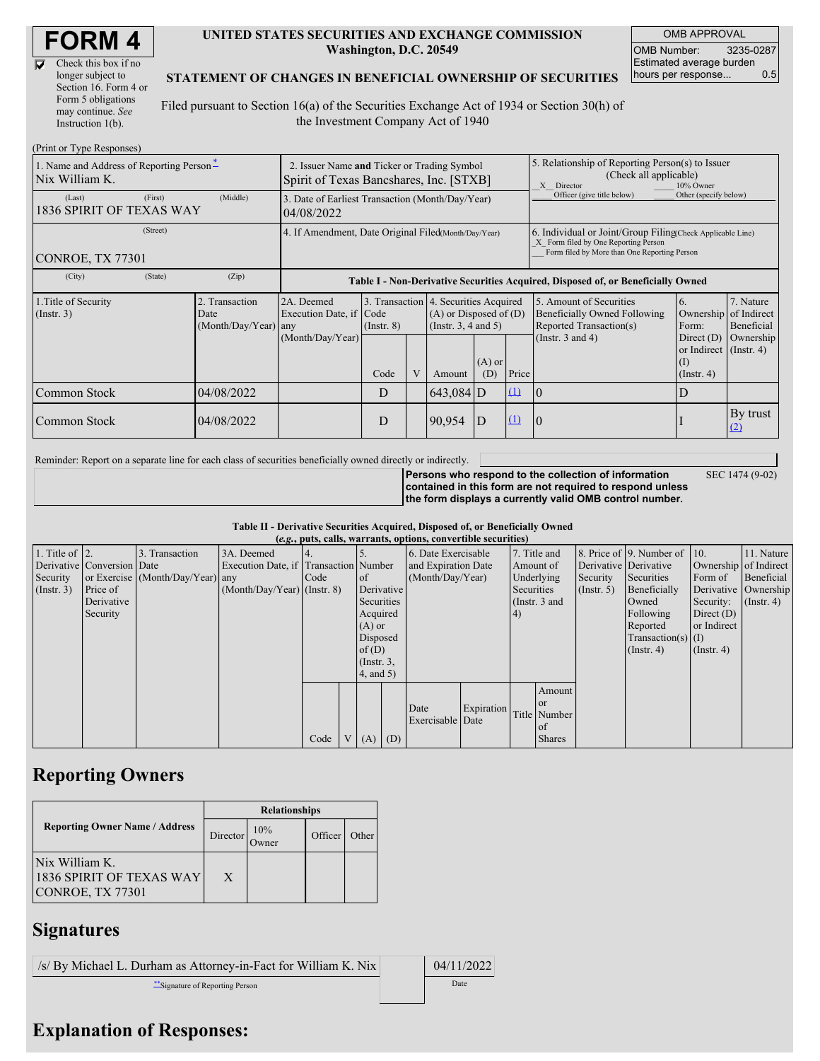$\overline{\nabla}$ 

| Check this box if no  |
|-----------------------|
| longer subject to     |
| Section 16. Form 4 or |
| Form 5 obligations    |
| may continue. See     |
| Instruction $1(b)$ .  |

## **UNITED STATES SECURITIES AND EXCHANGE COMMISSION Washington, D.C. 20549**

OMB APPROVAL OMB Number: 3235-0287 Estimated average burden hours per response... 0.5

SEC 1474 (9-02)

## **STATEMENT OF CHANGES IN BENEFICIAL OWNERSHIP OF SECURITIES**

Filed pursuant to Section 16(a) of the Securities Exchange Act of 1934 or Section 30(h) of the Investment Company Act of 1940

| (Print or Type Responses)                                  |                                                                                        |                                                |                                                                                  |                 |   |                                                                                                                                                    |                                                                                                       |                       |                                                                                    |                                                                                          |                         |
|------------------------------------------------------------|----------------------------------------------------------------------------------------|------------------------------------------------|----------------------------------------------------------------------------------|-----------------|---|----------------------------------------------------------------------------------------------------------------------------------------------------|-------------------------------------------------------------------------------------------------------|-----------------------|------------------------------------------------------------------------------------|------------------------------------------------------------------------------------------|-------------------------|
| 1. Name and Address of Reporting Person-<br>Nix William K. | 2. Issuer Name and Ticker or Trading Symbol<br>Spirit of Texas Bancshares, Inc. [STXB] |                                                |                                                                                  |                 |   |                                                                                                                                                    | 5. Relationship of Reporting Person(s) to Issuer<br>(Check all applicable)<br>X Director<br>10% Owner |                       |                                                                                    |                                                                                          |                         |
| (Last)<br>1836 SPIRIT OF TEXAS WAY                         | 3. Date of Earliest Transaction (Month/Day/Year)<br>04/08/2022                         |                                                |                                                                                  |                 |   |                                                                                                                                                    | Officer (give title below)                                                                            | Other (specify below) |                                                                                    |                                                                                          |                         |
| <b>CONROE, TX 77301</b>                                    | 4. If Amendment, Date Original Filed(Month/Day/Year)                                   |                                                |                                                                                  |                 |   | 6. Individual or Joint/Group Filing(Check Applicable Line)<br>X Form filed by One Reporting Person<br>Form filed by More than One Reporting Person |                                                                                                       |                       |                                                                                    |                                                                                          |                         |
| (City)                                                     | (State)                                                                                | (Zip)                                          | Table I - Non-Derivative Securities Acquired, Disposed of, or Beneficially Owned |                 |   |                                                                                                                                                    |                                                                                                       |                       |                                                                                    |                                                                                          |                         |
| 1. Title of Security<br>$($ Instr. 3 $)$                   |                                                                                        | 2. Transaction<br>Date<br>(Month/Day/Year) any | 2A. Deemed<br>Execution Date, if Code                                            | $($ Instr. $8)$ |   | 3. Transaction 4. Securities Acquired<br>$(A)$ or Disposed of $(D)$<br>(Instr. $3, 4$ and $5$ )                                                    |                                                                                                       |                       | 5. Amount of Securities<br>Beneficially Owned Following<br>Reported Transaction(s) | 6.<br>Ownership of Indirect<br>Form:                                                     | 7. Nature<br>Beneficial |
|                                                            |                                                                                        |                                                | (Month/Day/Year)                                                                 | Code            | V | Amount                                                                                                                                             | $(A)$ or<br>(D)                                                                                       | Price                 | (Instr. $3$ and $4$ )                                                              | Direct $(D)$<br>or Indirect (Instr. 4)<br>$\left( \mathrm{I}\right)$<br>$($ Instr. 4 $)$ | Ownership               |
| Common Stock                                               |                                                                                        | 04/08/2022                                     |                                                                                  | D               |   | $643,084$ D                                                                                                                                        |                                                                                                       | $\mathbf{u}$          | $\overline{0}$                                                                     | D                                                                                        |                         |
| Common Stock                                               |                                                                                        | 04/08/2022                                     |                                                                                  | D               |   | 90,954                                                                                                                                             | D                                                                                                     | $\mathbf{u}$          | 10                                                                                 |                                                                                          | By trust<br>(2)         |

Reminder: Report on a separate line for each class of securities beneficially owned directly or indirectly.

**Persons who respond to the collection of information contained in this form are not required to respond unless the form displays a currently valid OMB control number.**

**Table II - Derivative Securities Acquired, Disposed of, or Beneficially Owned**

| (e.g., puts, calls, warrants, options, convertible securities) |                            |                                  |                                       |      |  |                 |     |                          |            |           |                 |            |                              |                  |                       |                      |
|----------------------------------------------------------------|----------------------------|----------------------------------|---------------------------------------|------|--|-----------------|-----|--------------------------|------------|-----------|-----------------|------------|------------------------------|------------------|-----------------------|----------------------|
| 1. Title of $\vert$ 2.                                         |                            | 3. Transaction                   | 3A. Deemed                            |      |  |                 |     | 6. Date Exercisable      |            |           | 7. Title and    |            | 8. Price of 9. Number of 10. |                  | 11. Nature            |                      |
|                                                                | Derivative Conversion Date |                                  | Execution Date, if Transaction Number |      |  |                 |     | and Expiration Date      |            | Amount of |                 |            | Derivative Derivative        |                  | Ownership of Indirect |                      |
| Security                                                       |                            | or Exercise (Month/Day/Year) any |                                       | Code |  | of              |     | (Month/Day/Year)         | Underlying |           | Security        | Securities | Form of                      | Beneficial       |                       |                      |
| (Insert. 3)                                                    | Price of                   |                                  | $(Month/Day/Year)$ (Instr. 8)         |      |  | Derivative      |     |                          |            |           | Securities      |            | $($ Instr. 5 $)$             | Beneficially     |                       | Derivative Ownership |
|                                                                | Derivative                 |                                  |                                       |      |  | Securities      |     |                          |            |           | (Instr. $3$ and |            |                              | Owned            | Security:             | $($ Instr. 4)        |
|                                                                | Security                   |                                  |                                       |      |  | Acquired        |     |                          | (4)        |           |                 |            | Following                    | Direct $(D)$     |                       |                      |
|                                                                |                            |                                  |                                       |      |  | $(A)$ or        |     |                          |            |           |                 |            | Reported                     | or Indirect      |                       |                      |
|                                                                |                            |                                  |                                       |      |  | Disposed        |     |                          |            |           |                 |            | $Transaction(s)$ (I)         |                  |                       |                      |
|                                                                |                            |                                  |                                       |      |  | of(D)           |     |                          |            |           |                 |            | $($ Instr. 4 $)$             | $($ Instr. 4 $)$ |                       |                      |
|                                                                |                            |                                  |                                       |      |  | $($ Instr. $3,$ |     |                          |            |           |                 |            |                              |                  |                       |                      |
|                                                                |                            |                                  |                                       |      |  | $4$ , and $5$ ) |     |                          |            |           |                 |            |                              |                  |                       |                      |
|                                                                |                            |                                  |                                       |      |  |                 |     |                          |            |           | Amount          |            |                              |                  |                       |                      |
|                                                                |                            |                                  |                                       |      |  |                 |     |                          |            |           | 0r              |            |                              |                  |                       |                      |
|                                                                |                            |                                  |                                       |      |  |                 |     | Date<br>Exercisable Date | Expiration |           | Title Number    |            |                              |                  |                       |                      |
|                                                                |                            |                                  |                                       |      |  |                 |     |                          |            |           | <sub>of</sub>   |            |                              |                  |                       |                      |
|                                                                |                            |                                  |                                       | Code |  | V(A)            | (D) |                          |            |           | <b>Shares</b>   |            |                              |                  |                       |                      |

## **Reporting Owners**

|                                                                | <b>Relationships</b> |     |         |       |  |  |  |
|----------------------------------------------------------------|----------------------|-----|---------|-------|--|--|--|
| <b>Reporting Owner Name / Address</b>                          | Director             | 10% | Officer | Other |  |  |  |
| Nix William K.<br>1836 SPIRIT OF TEXAS WAY<br>CONROE, TX 77301 | X                    |     |         |       |  |  |  |

## **Signatures**

| $\frac{1}{s}$ /s/ By Michael L. Durham as Attorney-in-Fact for William K. Nix | 04/11/2022 |
|-------------------------------------------------------------------------------|------------|
| Signature of Reporting Person                                                 | Date       |

**Explanation of Responses:**